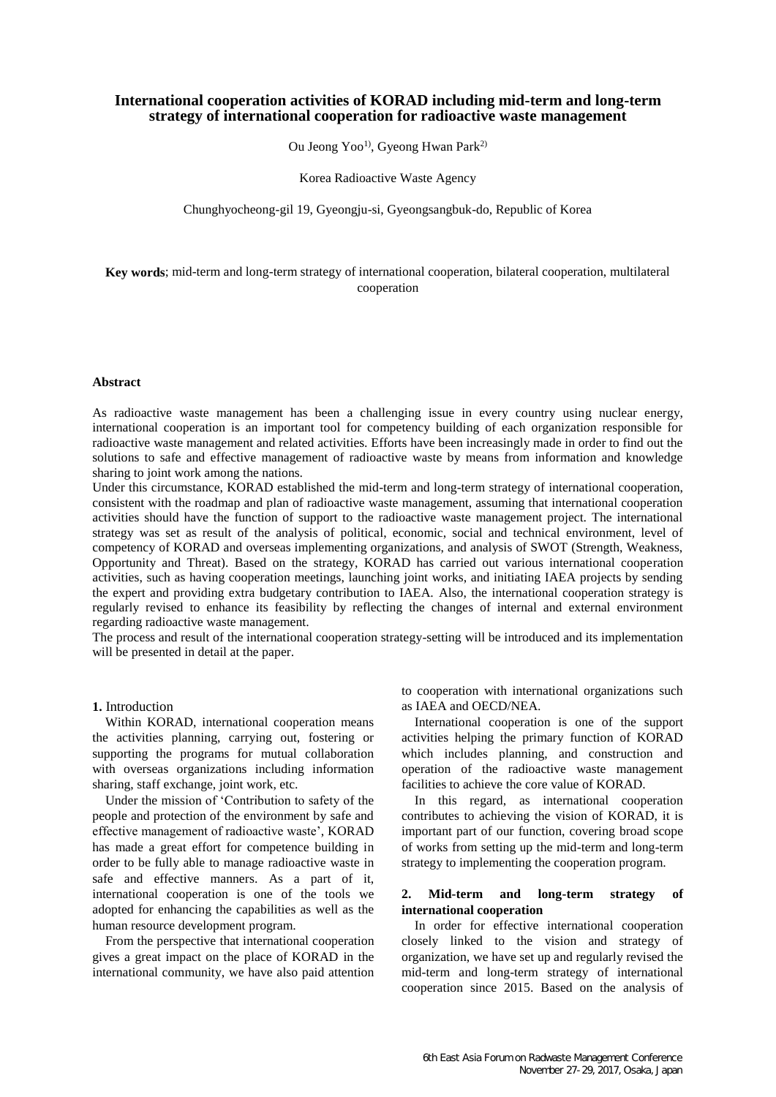# **International cooperation activities of KORAD including mid-term and long-term strategy of international cooperation for radioactive waste management**

Ou Jeong Yoo<sup>1)</sup>, Gyeong Hwan Park<sup>2)</sup>

Korea Radioactive Waste Agency

Chunghyocheong-gil 19, Gyeongju-si, Gyeongsangbuk-do, Republic of Korea

**Key words**; mid-term and long-term strategy of international cooperation, bilateral cooperation, multilateral cooperation

### **Abstract**

As radioactive waste management has been a challenging issue in every country using nuclear energy, international cooperation is an important tool for competency building of each organization responsible for radioactive waste management and related activities. Efforts have been increasingly made in order to find out the solutions to safe and effective management of radioactive waste by means from information and knowledge sharing to joint work among the nations.

Under this circumstance, KORAD established the mid-term and long-term strategy of international cooperation, consistent with the roadmap and plan of radioactive waste management, assuming that international cooperation activities should have the function of support to the radioactive waste management project. The international strategy was set as result of the analysis of political, economic, social and technical environment, level of competency of KORAD and overseas implementing organizations, and analysis of SWOT (Strength, Weakness, Opportunity and Threat). Based on the strategy, KORAD has carried out various international cooperation activities, such as having cooperation meetings, launching joint works, and initiating IAEA projects by sending the expert and providing extra budgetary contribution to IAEA. Also, the international cooperation strategy is regularly revised to enhance its feasibility by reflecting the changes of internal and external environment regarding radioactive waste management.

The process and result of the international cooperation strategy-setting will be introduced and its implementation will be presented in detail at the paper.

# **1.** Introduction

Within KORAD, international cooperation means the activities planning, carrying out, fostering or supporting the programs for mutual collaboration with overseas organizations including information sharing, staff exchange, joint work, etc.

Under the mission of 'Contribution to safety of the people and protection of the environment by safe and effective management of radioactive waste', KORAD has made a great effort for competence building in order to be fully able to manage radioactive waste in safe and effective manners. As a part of it, international cooperation is one of the tools we adopted for enhancing the capabilities as well as the human resource development program.

From the perspective that international cooperation gives a great impact on the place of KORAD in the international community, we have also paid attention

to cooperation with international organizations such as IAEA and OECD/NEA.

International cooperation is one of the support activities helping the primary function of KORAD which includes planning, and construction and operation of the radioactive waste management facilities to achieve the core value of KORAD.

In this regard, as international cooperation contributes to achieving the vision of KORAD, it is important part of our function, covering broad scope of works from setting up the mid-term and long-term strategy to implementing the cooperation program.

### **2. Mid-term and long-term strategy of international cooperation**

In order for effective international cooperation closely linked to the vision and strategy of organization, we have set up and regularly revised the mid-term and long-term strategy of international cooperation since 2015. Based on the analysis of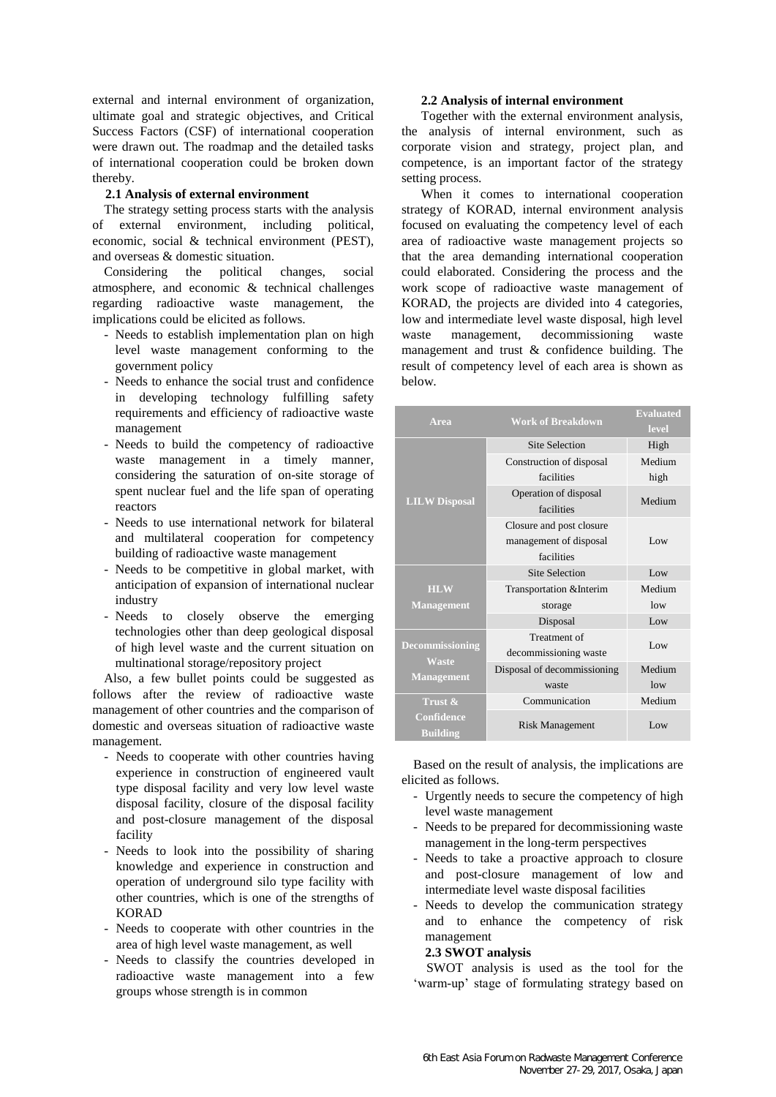external and internal environment of organization, ultimate goal and strategic objectives, and Critical Success Factors (CSF) of international cooperation were drawn out. The roadmap and the detailed tasks of international cooperation could be broken down thereby.

### **2.1 Analysis of external environment**

The strategy setting process starts with the analysis of external environment, including political, economic, social & technical environment (PEST), and overseas & domestic situation.

Considering the political changes, social atmosphere, and economic & technical challenges regarding radioactive waste management, the implications could be elicited as follows.

- Needs to establish implementation plan on high level waste management conforming to the government policy
- Needs to enhance the social trust and confidence in developing technology fulfilling safety requirements and efficiency of radioactive waste management
- Needs to build the competency of radioactive waste management in a timely manner, considering the saturation of on-site storage of spent nuclear fuel and the life span of operating reactors
- Needs to use international network for bilateral and multilateral cooperation for competency building of radioactive waste management
- Needs to be competitive in global market, with anticipation of expansion of international nuclear industry
- Needs to closely observe the emerging technologies other than deep geological disposal of high level waste and the current situation on multinational storage/repository project

Also, a few bullet points could be suggested as follows after the review of radioactive waste management of other countries and the comparison of domestic and overseas situation of radioactive waste management.

- Needs to cooperate with other countries having experience in construction of engineered vault type disposal facility and very low level waste disposal facility, closure of the disposal facility and post-closure management of the disposal facility
- Needs to look into the possibility of sharing knowledge and experience in construction and operation of underground silo type facility with other countries, which is one of the strengths of KORAD
- Needs to cooperate with other countries in the area of high level waste management, as well
- Needs to classify the countries developed in radioactive waste management into a few groups whose strength is in common

#### **2.2 Analysis of internal environment**

Together with the external environment analysis, the analysis of internal environment, such as corporate vision and strategy, project plan, and competence, is an important factor of the strategy setting process.

When it comes to international cooperation strategy of KORAD, internal environment analysis focused on evaluating the competency level of each area of radioactive waste management projects so that the area demanding international cooperation could elaborated. Considering the process and the work scope of radioactive waste management of KORAD, the projects are divided into 4 categories, low and intermediate level waste disposal, high level waste management, decommissioning waste management and trust & confidence building. The result of competency level of each area is shown as below.

| Area                                                        | <b>Work of Breakdown</b>                                         | <b>Evaluated</b><br>level |
|-------------------------------------------------------------|------------------------------------------------------------------|---------------------------|
| <b>LILW Disposal</b>                                        | <b>Site Selection</b>                                            | High                      |
|                                                             | Construction of disposal                                         | Medium                    |
|                                                             | facilities                                                       | high                      |
|                                                             | Operation of disposal<br>facilities                              | Medium                    |
|                                                             | Closure and post closure<br>management of disposal<br>facilities | Low                       |
|                                                             | <b>Site Selection</b>                                            | Low                       |
| <b>HLW</b><br><b>Management</b>                             | Transportation & Interim                                         | Medium                    |
|                                                             | storage                                                          | low                       |
|                                                             | Disposal                                                         | Low                       |
| <b>Decommissioning</b><br><b>Waste</b><br><b>Management</b> | Treatment of<br>decommissioning waste                            | Low                       |
|                                                             | Disposal of decommissioning                                      | Medium                    |
|                                                             | waste                                                            | low                       |
| Trust &                                                     | Communication                                                    | Medium                    |
| <b>Confidence</b><br><b>Building</b>                        | Risk Management                                                  | Low                       |

Based on the result of analysis, the implications are elicited as follows.

- Urgently needs to secure the competency of high level waste management
- Needs to be prepared for decommissioning waste management in the long-term perspectives
- Needs to take a proactive approach to closure and post-closure management of low and intermediate level waste disposal facilities
- Needs to develop the communication strategy and to enhance the competency of risk management

### **2.3 SWOT analysis**

SWOT analysis is used as the tool for the 'warm-up' stage of formulating strategy based on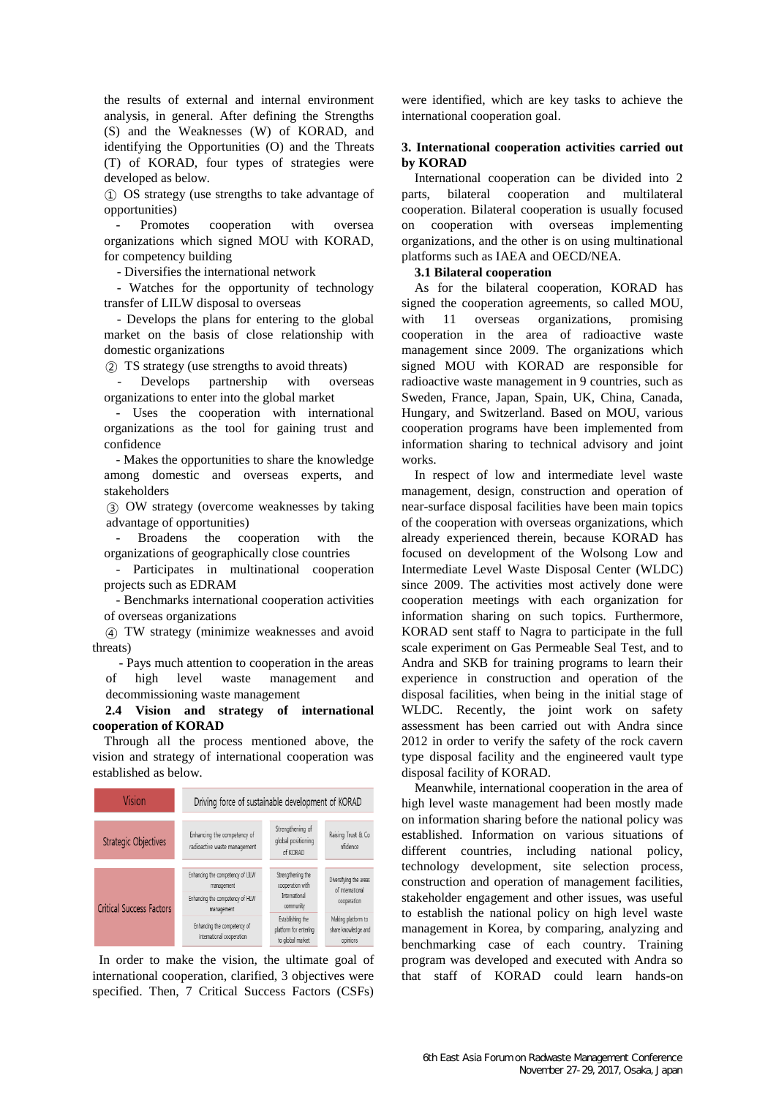the results of external and internal environment analysis, in general. After defining the Strengths (S) and the Weaknesses (W) of KORAD, and identifying the Opportunities (O) and the Threats (T) of KORAD, four types of strategies were developed as below.

① OS strategy (use strengths to take advantage of opportunities)

Promotes cooperation with oversea organizations which signed MOU with KORAD, for competency building

- Diversifies the international network

- Watches for the opportunity of technology transfer of LILW disposal to overseas

- Develops the plans for entering to the global market on the basis of close relationship with domestic organizations

② TS strategy (use strengths to avoid threats)

Develops partnership with organizations to enter into the global market

- Uses the cooperation with international organizations as the tool for gaining trust and confidence

- Makes the opportunities to share the knowledge among domestic and overseas experts, and stakeholders

③ OW strategy (overcome weaknesses by taking advantage of opportunities)

- Broadens the cooperation with the organizations of geographically close countries

- Participates in multinational cooperation projects such as EDRAM

- Benchmarks international cooperation activities of overseas organizations

④ TW strategy (minimize weaknesses and avoid threats)

 - Pays much attention to cooperation in the areas of high level waste management and decommissioning waste management

**2.4 Vision and strategy of international cooperation of KORAD**

Through all the process mentioned above, the vision and strategy of international cooperation was established as below.



In order to make the vision, the ultimate goal of international cooperation, clarified, 3 objectives were specified. Then, 7 Critical Success Factors (CSFs)

were identified, which are key tasks to achieve the international cooperation goal.

### **3. International cooperation activities carried out by KORAD**

International cooperation can be divided into 2 parts, bilateral cooperation and multilateral cooperation. Bilateral cooperation is usually focused on cooperation with overseas implementing organizations, and the other is on using multinational platforms such as IAEA and OECD/NEA.

#### **3.1 Bilateral cooperation**

As for the bilateral cooperation, KORAD has signed the cooperation agreements, so called MOU, with 11 overseas organizations, promising cooperation in the area of radioactive waste management since 2009. The organizations which signed MOU with KORAD are responsible for radioactive waste management in 9 countries, such as Sweden, France, Japan, Spain, UK, China, Canada, Hungary, and Switzerland. Based on MOU, various cooperation programs have been implemented from information sharing to technical advisory and joint works.

In respect of low and intermediate level waste management, design, construction and operation of near-surface disposal facilities have been main topics of the cooperation with overseas organizations, which already experienced therein, because KORAD has focused on development of the Wolsong Low and Intermediate Level Waste Disposal Center (WLDC) since 2009. The activities most actively done were cooperation meetings with each organization for information sharing on such topics. Furthermore, KORAD sent staff to Nagra to participate in the full scale experiment on Gas Permeable Seal Test, and to Andra and SKB for training programs to learn their experience in construction and operation of the disposal facilities, when being in the initial stage of WLDC. Recently, the joint work on safety assessment has been carried out with Andra since 2012 in order to verify the safety of the rock cavern type disposal facility and the engineered vault type disposal facility of KORAD.

Meanwhile, international cooperation in the area of high level waste management had been mostly made on information sharing before the national policy was established. Information on various situations of different countries, including national policy, technology development, site selection process, construction and operation of management facilities, stakeholder engagement and other issues, was useful to establish the national policy on high level waste management in Korea, by comparing, analyzing and benchmarking case of each country. Training program was developed and executed with Andra so that staff of KORAD could learn hands-on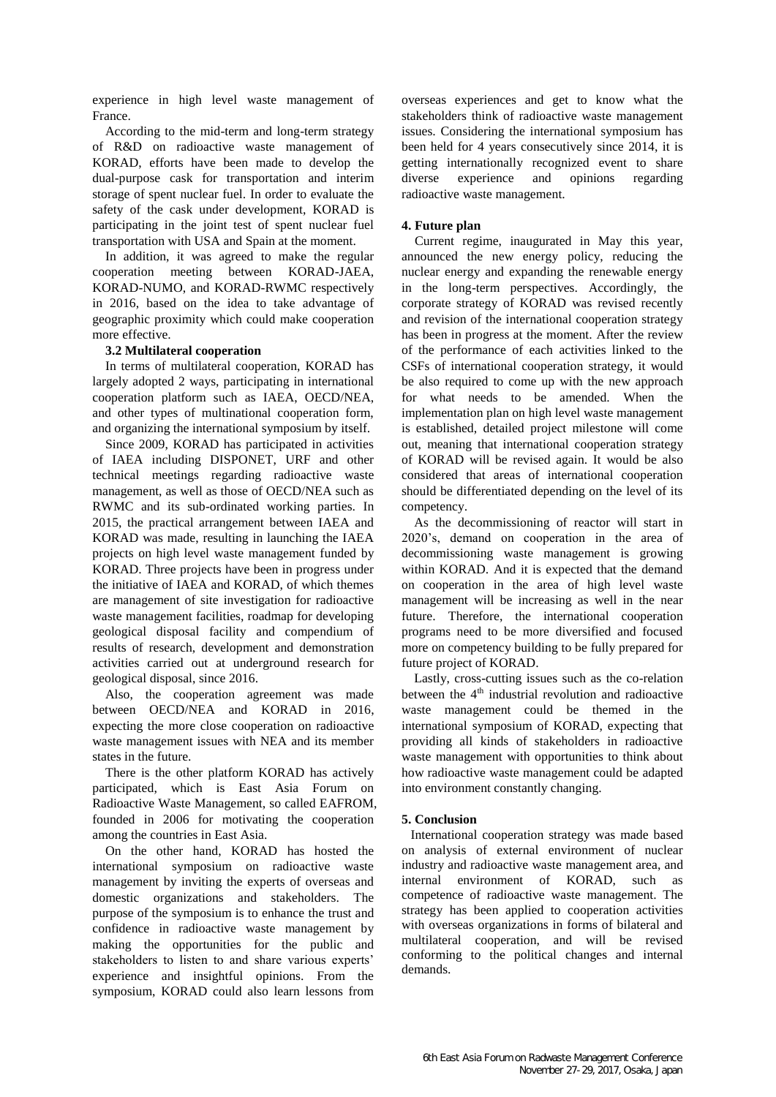experience in high level waste management of France.

According to the mid-term and long-term strategy of R&D on radioactive waste management of KORAD, efforts have been made to develop the dual-purpose cask for transportation and interim storage of spent nuclear fuel. In order to evaluate the safety of the cask under development, KORAD is participating in the joint test of spent nuclear fuel transportation with USA and Spain at the moment.

In addition, it was agreed to make the regular cooperation meeting between KORAD-JAEA, KORAD-NUMO, and KORAD-RWMC respectively in 2016, based on the idea to take advantage of geographic proximity which could make cooperation more effective.

# **3.2 Multilateral cooperation**

In terms of multilateral cooperation, KORAD has largely adopted 2 ways, participating in international cooperation platform such as IAEA, OECD/NEA, and other types of multinational cooperation form, and organizing the international symposium by itself.

Since 2009, KORAD has participated in activities of IAEA including DISPONET, URF and other technical meetings regarding radioactive waste management, as well as those of OECD/NEA such as RWMC and its sub-ordinated working parties. In 2015, the practical arrangement between IAEA and KORAD was made, resulting in launching the IAEA projects on high level waste management funded by KORAD. Three projects have been in progress under the initiative of IAEA and KORAD, of which themes are management of site investigation for radioactive waste management facilities, roadmap for developing geological disposal facility and compendium of results of research, development and demonstration activities carried out at underground research for geological disposal, since 2016.

Also, the cooperation agreement was made between OECD/NEA and KORAD in 2016, expecting the more close cooperation on radioactive waste management issues with NEA and its member states in the future.

There is the other platform KORAD has actively participated, which is East Asia Forum on Radioactive Waste Management, so called EAFROM, founded in 2006 for motivating the cooperation among the countries in East Asia.

On the other hand, KORAD has hosted the international symposium on radioactive waste management by inviting the experts of overseas and domestic organizations and stakeholders. The purpose of the symposium is to enhance the trust and confidence in radioactive waste management by making the opportunities for the public and stakeholders to listen to and share various experts' experience and insightful opinions. From the symposium, KORAD could also learn lessons from overseas experiences and get to know what the stakeholders think of radioactive waste management issues. Considering the international symposium has been held for 4 years consecutively since 2014, it is getting internationally recognized event to share<br>diverse experience and opinions regarding diverse experience and opinions regarding radioactive waste management.

### **4. Future plan**

 Current regime, inaugurated in May this year, announced the new energy policy, reducing the nuclear energy and expanding the renewable energy in the long-term perspectives. Accordingly, the corporate strategy of KORAD was revised recently and revision of the international cooperation strategy has been in progress at the moment. After the review of the performance of each activities linked to the CSFs of international cooperation strategy, it would be also required to come up with the new approach for what needs to be amended. When the implementation plan on high level waste management is established, detailed project milestone will come out, meaning that international cooperation strategy of KORAD will be revised again. It would be also considered that areas of international cooperation should be differentiated depending on the level of its competency.

As the decommissioning of reactor will start in 2020's, demand on cooperation in the area of decommissioning waste management is growing within KORAD. And it is expected that the demand on cooperation in the area of high level waste management will be increasing as well in the near future. Therefore, the international cooperation programs need to be more diversified and focused more on competency building to be fully prepared for future project of KORAD.

Lastly, cross-cutting issues such as the co-relation between the 4<sup>th</sup> industrial revolution and radioactive waste management could be themed in the international symposium of KORAD, expecting that providing all kinds of stakeholders in radioactive waste management with opportunities to think about how radioactive waste management could be adapted into environment constantly changing.

# **5. Conclusion**

International cooperation strategy was made based on analysis of external environment of nuclear industry and radioactive waste management area, and internal environment of KORAD, such as competence of radioactive waste management. The strategy has been applied to cooperation activities with overseas organizations in forms of bilateral and multilateral cooperation, and will be revised conforming to the political changes and internal demands.